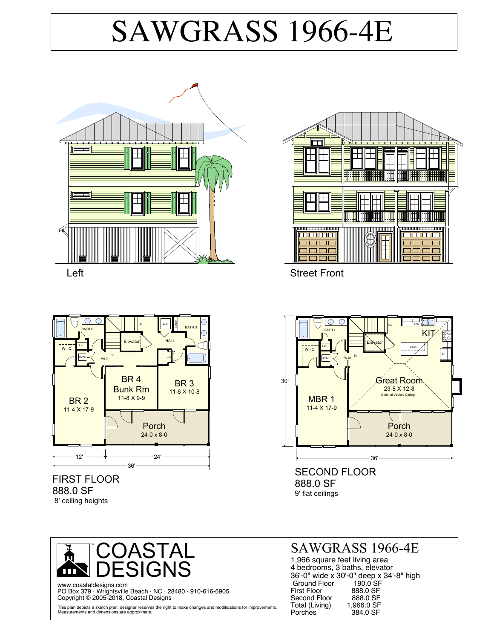# SAWGRASS 1966-4E







#### FIRST FLOOR 888.0 SF 8' ceiling heights



SECOND FLOOR 888.0 SF 9' flat ceilings



www.coastaldesigns.com PO Box 379 · Wrightsville Beach · NC · 28480 · 910-616-6905 Copyright © 2005-2018, Coastal Designs

This plan depicts a sketch plan, designer reserves the right to make changes and modifications for improvements. Measurements and dimensions are approximate.

### SAWGRASS 1966-4E

1,966 square feet living area 4 bedrooms, 3 baths, elevator 36'-0" wide x 30'-0" deep x 34'-8" high Ground Floor 190.0 SF First Floor 888.0 SF<br>Second Floor 888.0 SF Second Floor 888.0 SF<br>Total (Living) 1.966.0 SF Total (Living)<br>Porches 384.0 SF